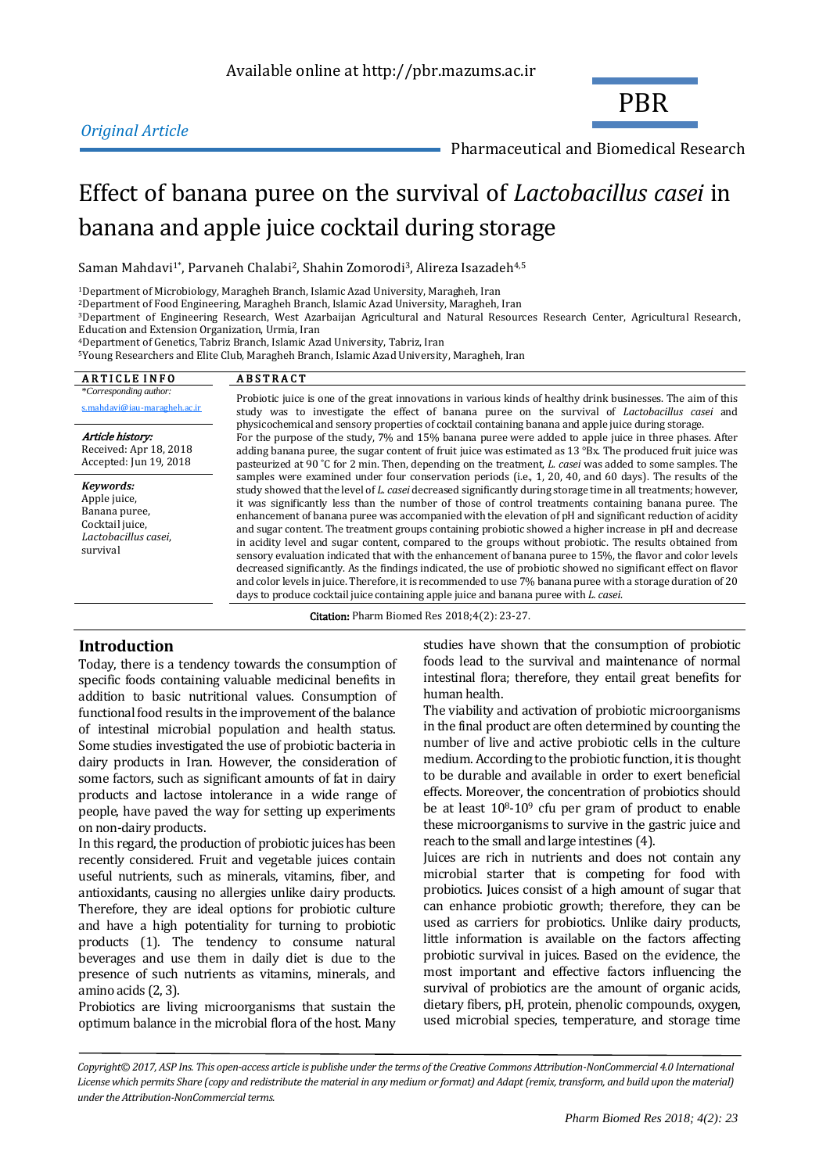# *Original Article*

PBR

Pharmaceutical and Biomedical Research

# Effect of banana puree on the survival of *Lactobacillus casei* in banana and apple juice cocktail during storage

Saman Mahdavi<sup>1\*</sup>, Parvaneh Chalabi<sup>2</sup>, Shahin Zomorodi<sup>3</sup>, Alireza Isazadeh<sup>4,5</sup>

<sup>1</sup>Department of Microbiology, Maragheh Branch, Islamic Azad University, Maragheh, Iran

<sup>2</sup>Department of Food Engineering, Maragheh Branch, Islamic Azad University, Maragheh, Iran

<sup>3</sup>Department of Engineering Research, West Azarbaijan Agricultural and Natural Resources Research Center, Agricultural Research, Education and Extension Organization, Urmia, Iran

<sup>4</sup>Department of Genetics, Tabriz Branch, Islamic Azad University, Tabriz, Iran

<sup>5</sup>Young Researchers and Elite Club, Maragheh Branch, Islamic Azad University, Maragheh, Iran

| <b>ARTICLE INFO</b>                                                                               | <b>ABSTRACT</b>                                                                                                                                                                                                                                                                                                                                                                                                                                                                                                                                                                                                                                                                                                                                                                                                                                                                                                                                                                                                                                                                                                    |
|---------------------------------------------------------------------------------------------------|--------------------------------------------------------------------------------------------------------------------------------------------------------------------------------------------------------------------------------------------------------------------------------------------------------------------------------------------------------------------------------------------------------------------------------------------------------------------------------------------------------------------------------------------------------------------------------------------------------------------------------------------------------------------------------------------------------------------------------------------------------------------------------------------------------------------------------------------------------------------------------------------------------------------------------------------------------------------------------------------------------------------------------------------------------------------------------------------------------------------|
| *Corresponding author:<br>s.mahdavi@iau-maragheh.ac.ir                                            | Probiotic juice is one of the great innovations in various kinds of healthy drink businesses. The aim of this<br>study was to investigate the effect of banana puree on the survival of Lactobacillus casei and                                                                                                                                                                                                                                                                                                                                                                                                                                                                                                                                                                                                                                                                                                                                                                                                                                                                                                    |
| Article history:<br>Received: Apr 18, 2018<br>Accepted: Jun 19, 2018                              | physicochemical and sensory properties of cocktail containing banana and apple juice during storage.<br>For the purpose of the study, 7% and 15% banana puree were added to apple juice in three phases. After<br>adding banana puree, the sugar content of fruit juice was estimated as $13 \degree Bx$ . The produced fruit juice was<br>pasteurized at 90 °C for 2 min. Then, depending on the treatment, <i>L. casei</i> was added to some samples. The                                                                                                                                                                                                                                                                                                                                                                                                                                                                                                                                                                                                                                                        |
| Kevwords:<br>Apple juice,<br>Banana puree,<br>Cocktail juice,<br>Lactobacillus casei,<br>survival | samples were examined under four conservation periods (i.e., 1, 20, 40, and 60 days). The results of the<br>study showed that the level of L. casei decreased significantly during storage time in all treatments; however,<br>it was significantly less than the number of those of control treatments containing banana puree. The<br>enhancement of banana puree was accompanied with the elevation of pH and significant reduction of acidity<br>and sugar content. The treatment groups containing probiotic showed a higher increase in pH and decrease<br>in acidity level and sugar content, compared to the groups without probiotic. The results obtained from<br>sensory evaluation indicated that with the enhancement of banana puree to 15%, the flavor and color levels<br>decreased significantly. As the findings indicated, the use of probiotic showed no significant effect on flavor<br>and color levels in juice. Therefore, it is recommended to use 7% banana puree with a storage duration of 20<br>days to produce cocktail juice containing apple juice and banana puree with L. casei. |

Citation: Pharm Biomed Res 2018;4(2): 23-27.

# **Introduction**

Today, there is a tendency towards the consumption of specific foods containing valuable medicinal benefits in addition to basic nutritional values. Consumption of functional food results in the improvement of the balance of intestinal microbial population and health status. Some studies investigated the use of probiotic bacteria in dairy products in Iran. However, the consideration of some factors, such as significant amounts of fat in dairy products and lactose intolerance in a wide range of people, have paved the way for setting up experiments on non-dairy products.

In this regard, the production of probiotic juices has been recently considered. Fruit and vegetable juices contain useful nutrients, such as minerals, vitamins, fiber, and antioxidants, causing no allergies unlike dairy products. Therefore, they are ideal options for probiotic culture and have a high potentiality for turning to probiotic products [\(1\)](#page-4-0). The tendency to consume natural beverages and use them in daily diet is due to the presence of such nutrients as vitamins, minerals, and amino acids [\(2,](#page-4-1) [3\)](#page-4-2).

Probiotics are living microorganisms that sustain the optimum balance in the microbial flora of the host. Many studies have shown that the consumption of probiotic foods lead to the survival and maintenance of normal intestinal flora; therefore, they entail great benefits for human health.

The viability and activation of probiotic microorganisms in the final product are often determined by counting the number of live and active probiotic cells in the culture medium. According to the probiotic function, it is thought to be durable and available in order to exert beneficial effects. Moreover, the concentration of probiotics should be at least 108-10<sup>9</sup> cfu per gram of product to enable these microorganisms to survive in the gastric juice and reach to the small and large intestines [\(4\)](#page-4-3).

Juices are rich in nutrients and does not contain any microbial starter that is competing for food with probiotics. Juices consist of a high amount of sugar that can enhance probiotic growth; therefore, they can be used as carriers for probiotics. Unlike dairy products, little information is available on the factors affecting probiotic survival in juices. Based on the evidence, the most important and effective factors influencing the survival of probiotics are the amount of organic acids, dietary fibers, pH, protein, phenolic compounds, oxygen, used microbial species, temperature, and storage time

*Copyright© 2017, ASP Ins. This open-access article is publishe under the terms of the Creative Commons Attribution-NonCommercial 4.0 International*  License which permits Share (copy and redistribute the material in any medium or format) and Adapt (remix, transform, and build upon the material) *under the Attribution-NonCommercial terms.*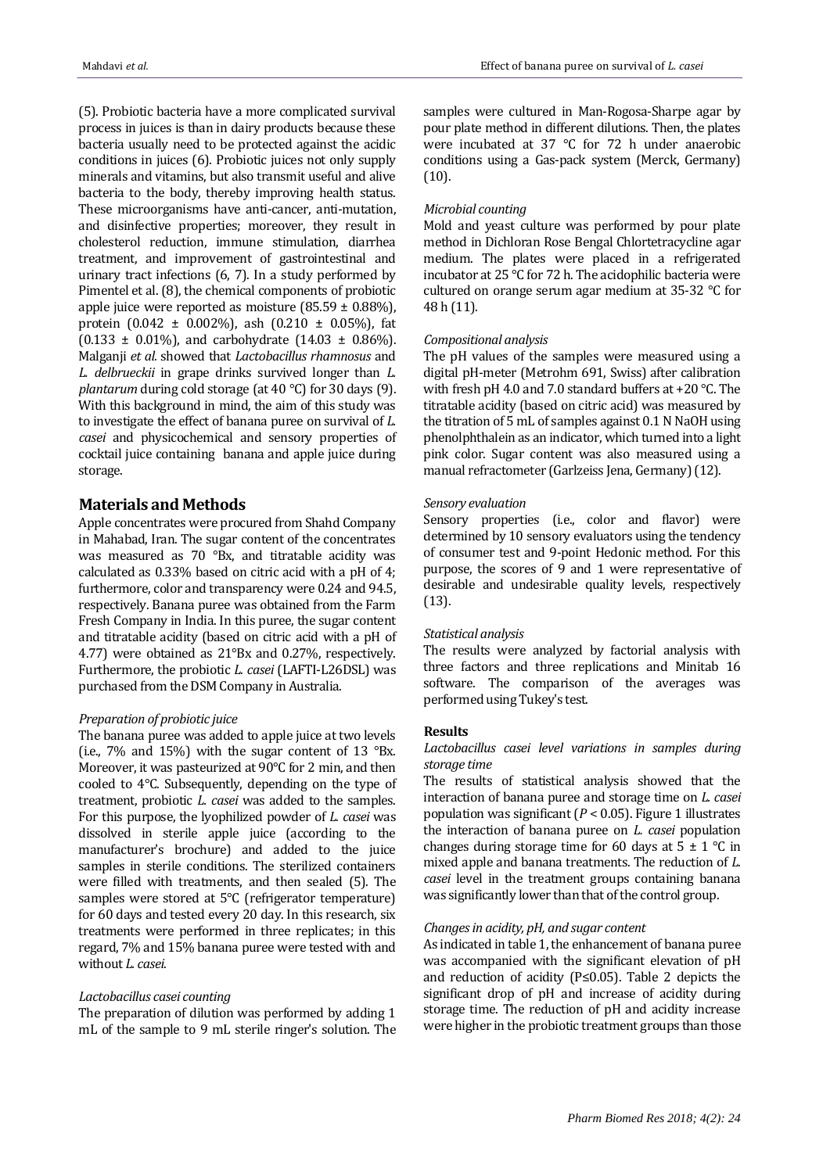[\(5\)](#page-4-4). Probiotic bacteria have a more complicated survival process in juices is than in dairy products because these bacteria usually need to be protected against the acidic conditions in juices [\(6\)](#page-4-5). Probiotic juices not only supply minerals and vitamins, but also transmit useful and alive bacteria to the body, thereby improving health status. These microorganisms have anti-cancer, anti-mutation, and disinfective properties; moreover, they result in cholesterol reduction, immune stimulation, diarrhea treatment, and improvement of gastrointestinal and urinary tract infections [\(6,](#page-4-5) [7\)](#page-4-6). In a study performed by Pimentel et al. [\(8\)](#page-4-0), the chemical components of probiotic apple juice were reported as moisture  $(85.59 \pm 0.88\%)$ , protein  $(0.042 \pm 0.002\%)$ , ash  $(0.210 \pm 0.05\%)$ , fat  $(0.133 \pm 0.01\%)$ , and carbohydrate  $(14.03 \pm 0.86\%)$ . Malganji *et al.* showed that *Lactobacillus rhamnosus* and *L. delbrueckii* in grape drinks survived longer than *L. plantarum* during cold storage (at 40 °C) for 30 days [\(9\)](#page-4-7). With this background in mind, the aim of this study was to investigate the effect of banana puree on survival of *L. casei* and physicochemical and sensory properties of cocktail juice containing banana and apple juice during storage.

# **Materials and Methods**

Apple concentrates were procured from Shahd Company in Mahabad, Iran. The sugar content of the concentrates was measured as 70 °Bx, and titratable acidity was calculated as 0.33% based on citric acid with a pH of 4; furthermore, color and transparency were 0.24 and 94.5, respectively. Banana puree was obtained from the Farm Fresh Company in India. In this puree, the sugar content and titratable acidity (based on citric acid with a pH of 4.77) were obtained as 21°Bx and 0.27%, respectively. Furthermore, the probiotic *L. casei* (LAFTI-L26DSL) was purchased from the DSM Company in Australia.

## *Preparation of probiotic juice*

The banana puree was added to apple juice at two levels (i.e.,  $7\%$  and  $15\%$ ) with the sugar content of 13 °Bx. Moreover, it was pasteurized at 90°C for 2 min, and then cooled to 4°C. Subsequently, depending on the type of treatment, probiotic *L. casei* was added to the samples. For this purpose, the lyophilized powder of *L. casei* was dissolved in sterile apple juice (according to the manufacturer's brochure) and added to the juice samples in sterile conditions. The sterilized containers were filled with treatments, and then sealed [\(5\)](#page-4-4). The samples were stored at 5°C (refrigerator temperature) for 60 days and tested every 20 day. In this research, six treatments were performed in three replicates; in this regard, 7% and 15% banana puree were tested with and without *L. casei*.

#### *Lactobacillus casei counting*

The preparation of dilution was performed by adding 1 mL of the sample to 9 mL sterile ringer's solution. The samples were cultured in Man-Rogosa-Sharpe agar by pour plate method in different dilutions. Then, the plates were incubated at 37 °C for 72 h under anaerobic conditions using a Gas-pack system (Merck, Germany) (10).

### *Microbial counting*

Mold and yeast culture was performed by pour plate method in Dichloran Rose Bengal Chlortetracycline agar medium. The plates were placed in a refrigerated incubator at 25 °C for 72 h. The acidophilic bacteria were cultured on orange serum agar medium at 35-32 °C for 48 h (11).

### *Compositional analysis*

The pH values of the samples were measured using a digital pH-meter (Metrohm 691, Swiss) after calibration with fresh pH 4.0 and 7.0 standard buffers at +20 °C. The titratable acidity (based on citric acid) was measured by the titration of 5 mL of samples against 0.1 N NaOH using phenolphthalein as an indicator, which turned into a light pink color. Sugar content was also measured using a manual refractometer (Garlzeiss Jena, Germany) (12).

#### *Sensory evaluation*

Sensory properties (i.e., color and flavor) were determined by 10 sensory evaluators using the tendency of consumer test and 9-point Hedonic method. For this purpose, the scores of 9 and 1 were representative of desirable and undesirable quality levels, respectively (13).

#### *Statistical analysis*

The results were analyzed by factorial analysis with three factors and three replications and Minitab 16 software. The comparison of the averages was performed using Tukey's test.

# **Results**

# *Lactobacillus casei level variations in samples during storage time*

The results of statistical analysis showed that the interaction of banana puree and storage time on *L. casei* population was significant (*P* < 0.05). Figure 1 illustrates the interaction of banana puree on *L. casei* population changes during storage time for 60 days at  $5 \pm 1$  °C in mixed apple and banana treatments. The reduction of *L. casei* level in the treatment groups containing banana was significantly lower than that of the control group.

# *Changes in acidity, pH, and sugar content*

As indicated in table 1, the enhancement of banana puree was accompanied with the significant elevation of pH and reduction of acidity (P≤0.05). Table 2 depicts the significant drop of pH and increase of acidity during storage time. The reduction of pH and acidity increase were higher in the probiotic treatment groups than those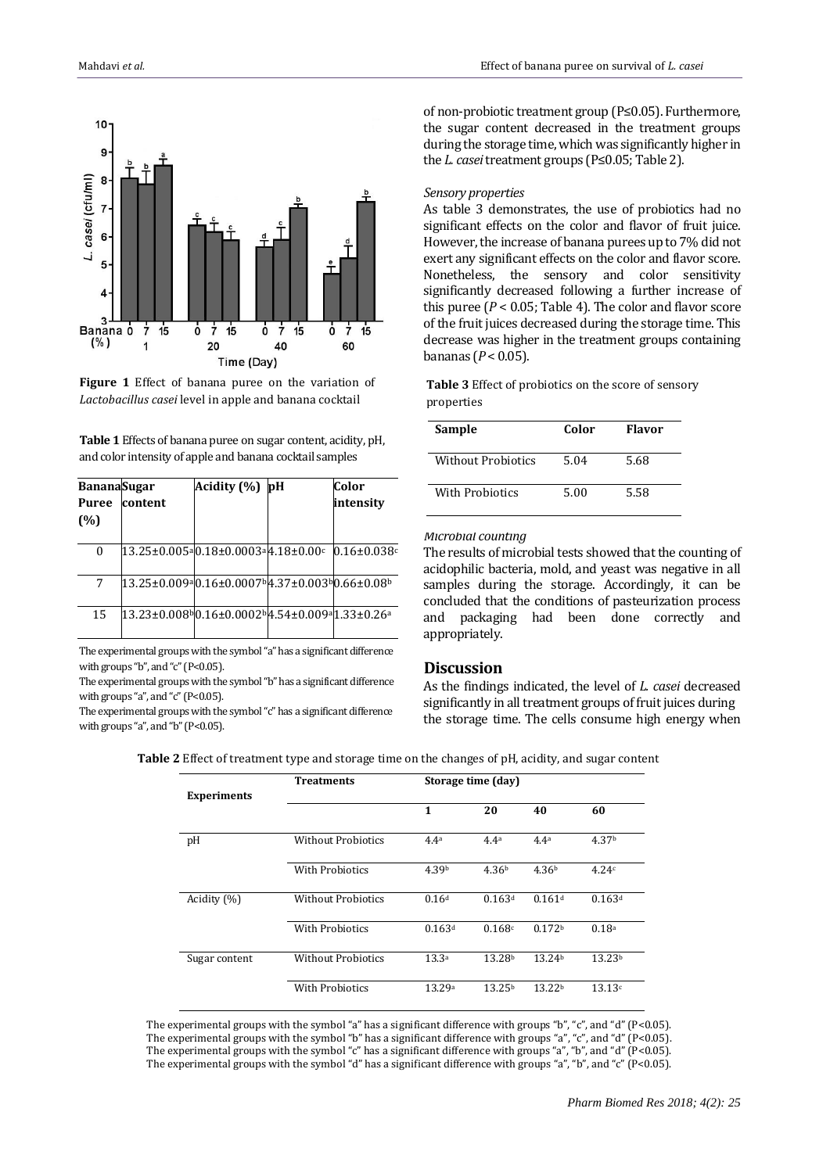

**Figure 1** Effect of banana puree on the variation of *Lactobacillus casei* level in apple and banana cocktail

**Table 1** Effects of banana puree on sugar content, acidity, pH, and color intensity of apple and banana cocktail samples

| <b>BananaSugar</b> |         | Acidity (%)                                               | þН | Color              |
|--------------------|---------|-----------------------------------------------------------|----|--------------------|
| <b>Puree</b>       | content |                                                           |    | intensitv          |
| (%)                |         |                                                           |    |                    |
| $\Omega$           |         | $13.25 \pm 0.005$ a $0.18 \pm 0.0003$ a $4.18 \pm 0.00$ c |    | $0.16 \pm 0.038$ c |
| 7                  |         | 13.25±0.009a0.16±0.0007b4.37±0.003b0.66±0.08b             |    |                    |
| 15                 |         | 13.23±0.008%0.16±0.0002%4.54±0.009a1.33±0.26a             |    |                    |

The experimental groups with the symbol "a" has a significant difference with groups "b", and "c" (P<0.05).

The experimental groups with the symbol "b" has a significant difference with groups "a", and "c" (P<0.05).

The experimental groups with the symbol "c" has a significant difference with groups "a", and "b" (P<0.05).

of non-probiotic treatment group (P≤0.05). Furthermore, the sugar content decreased in the treatment groups during the storage time, which was significantly higher in the *L. casei*treatment groups (P≤0.05; Table 2).

#### *Sensory properties*

As table 3 demonstrates, the use of probiotics had no significant effects on the color and flavor of fruit juice. However, the increase of banana purees up to 7% did not exert any significant effects on the color and flavor score. Nonetheless, the sensory and color sensitivity significantly decreased following a further increase of this puree ( $P < 0.05$ ; Table 4). The color and flavor score of the fruit juices decreased during the storage time. This decrease was higher in the treatment groups containing bananas (*P* < 0.05).

**Table 3** Effect of probiotics on the score of sensory properties

| Sample             | Color | <b>Flavor</b> |
|--------------------|-------|---------------|
| Without Probiotics | 5.04  | 5.68          |
| With Probiotics    | 5.00  | 5.58          |

#### *Microbial counting*

The results of microbial tests showed that the counting of acidophilic bacteria, mold, and yeast was negative in all samples during the storage. Accordingly, it can be concluded that the conditions of pasteurization process and packaging had been done correctly and appropriately.

# **Discussion**

As the findings indicated, the level of *L. casei* decreased significantly in all treatment groups of fruit juices during the storage time. The cells consume high energy when

| Table 2 Effect of treatment type and storage time on the changes of pH, acidity, and sugar content |  |  |  |
|----------------------------------------------------------------------------------------------------|--|--|--|
|----------------------------------------------------------------------------------------------------|--|--|--|

|                    | <b>Treatments</b>         | Storage time (day) |                    |                    |                    |  |
|--------------------|---------------------------|--------------------|--------------------|--------------------|--------------------|--|
| <b>Experiments</b> |                           | 1                  | 20                 | 40                 | 60                 |  |
| pH                 | <b>Without Probiotics</b> | 4.4 <sup>a</sup>   | 4.4 <sup>a</sup>   | 4.4 <sup>a</sup>   | 4.37 <sup>b</sup>  |  |
|                    | <b>With Probiotics</b>    | 4.39 <sup>b</sup>  | 4.36 <sup>b</sup>  | 4.36 <sup>b</sup>  | 4.24c              |  |
| Acidity $(\% )$    | <b>Without Probiotics</b> | 0.16d              | 0.163 <sup>d</sup> | 0.161 <sup>d</sup> | 0.163d             |  |
|                    | With Probiotics           | 0.163d             | 0.168c             | 0.172 <sup>b</sup> | 0.18 <sup>a</sup>  |  |
| Sugar content      | <b>Without Probiotics</b> | 13.3 <sup>a</sup>  | 13.28 <sup>b</sup> | 13.24b             | 13.23 <sup>b</sup> |  |
|                    | <b>With Probiotics</b>    | 13.29 <sup>a</sup> | 13.25 <sup>b</sup> | 13.22 <sup>b</sup> | 13.13c             |  |

The experimental groups with the symbol "a" has a significant difference with groups "b", "c", and "d" (P<0.05). The experimental groups with the symbol "b" has a significant difference with groups "a", "c", and "d" (P<0.05). The experimental groups with the symbol "c" has a significant difference with groups "a", "b", and "d" (P<0.05). The experimental groups with the symbol "d" has a significant difference with groups "a", "b", and "c" (P<0.05).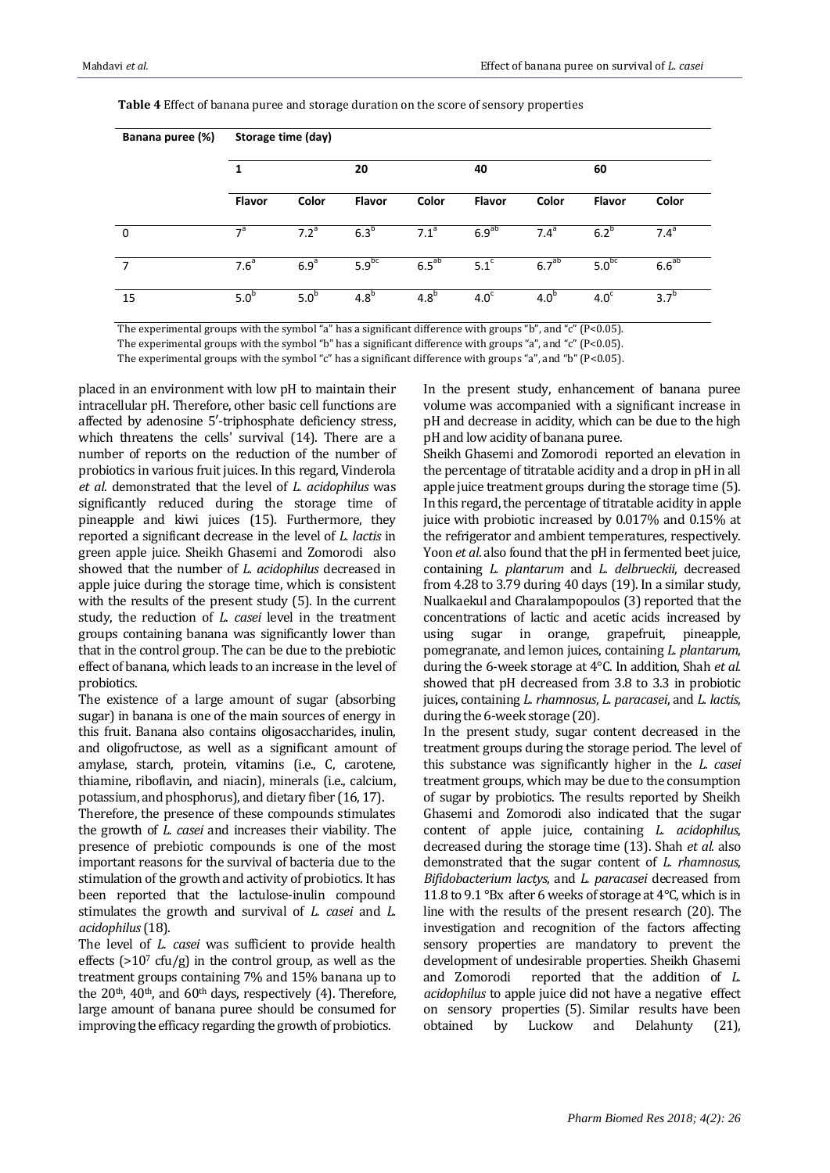| Banana puree (%) | Storage time (day) |                  |                   |                  |                   |                   |                   |                  |
|------------------|--------------------|------------------|-------------------|------------------|-------------------|-------------------|-------------------|------------------|
|                  | 1                  |                  | 20                |                  | 40                |                   | 60                |                  |
|                  | Flavor             | Color            | <b>Flavor</b>     | Color            | <b>Flavor</b>     | Color             | <b>Flavor</b>     | Color            |
| 0                | $\mathbf{a}$       | 7.2 <sup>a</sup> | $6.3^b$           | 7.1 <sup>a</sup> | 6.9 <sup>ab</sup> | 7.4 <sup>a</sup>  | $6.2^{\circ}$     | $7.4^a$          |
| 7                | 7.6 <sup>a</sup>   | 6.9 <sup>a</sup> | 5.9 <sup>bc</sup> | $6.5^{ab}$       | 5.1 <sup>c</sup>  | 6.7 <sup>ab</sup> | 5.0 <sup>bc</sup> | $6.6^{ab}$       |
| 15               | 5.0 <sup>b</sup>   | 5.0 <sup>b</sup> | 4.8 <sup>b</sup>  | 4.8 <sup>b</sup> | 4.0 <sup>c</sup>  | 4.0 <sup>b</sup>  | 4.0 <sup>c</sup>  | 3.7 <sup>b</sup> |

**Table 4** Effect of banana puree and storage duration on the score of sensory properties

The experimental groups with the symbol "a" has a significant difference with groups "b", and "c" (P<0.05).

The experimental groups with the symbol "b" has a significant difference with groups "a", and "c" (P<0.05).

The experimental groups with the symbol "c" has a significant difference with groups "a", and "b" (P<0.05).

placed in an environment with low pH to maintain their intracellular pH. Therefore, other basic cell functions are affected by adenosine 5′-triphosphate deficiency stress, which threatens the cells' survival (14). There are a number of reports on the reduction of the number of probiotics in various fruit juices. In this regard, Vinderola *et al*. demonstrated that the level of *L. acidophilus* was significantly reduced during the storage time of pineapple and kiwi juices (15). Furthermore, they reported a significant decrease in the level of *L. lactis* in green apple juice. Sheikh Ghasemi and Zomorodi also showed that the number of *L. acidophilus* decreased in apple juice during the storage time, which is consistent with the results of the present study [\(5\)](#page-4-4). In the current study, the reduction of *L. casei* level in the treatment groups containing banana was significantly lower than that in the control group. The can be due to the prebiotic effect of banana, which leads to an increase in the level of probiotics.

The existence of a large amount of sugar (absorbing sugar) in banana is one of the main sources of energy in this fruit. Banana also contains oligosaccharides, inulin, and oligofructose, as well as a significant amount of amylase, starch, protein, vitamins (i.e., C, carotene, thiamine, riboflavin, and niacin), minerals (i.e., calcium, potassium, and phosphorus), and dietary fiber (16, 17).

Therefore, the presence of these compounds stimulates the growth of *L. casei* and increases their viability. The presence of prebiotic compounds is one of the most important reasons for the survival of bacteria due to the stimulation of the growth and activity of probiotics. It has been reported that the lactulose-inulin compound stimulates the growth and survival of *L. casei* and *L. acidophilus*(18).

The level of *L. casei* was sufficient to provide health effects ( $>10<sup>7</sup>$  cfu/g) in the control group, as well as the treatment groups containing 7% and 15% banana up to the  $20<sup>th</sup>$ ,  $40<sup>th</sup>$ , and  $60<sup>th</sup>$  days, respectively [\(4\)](#page-4-3). Therefore, large amount of banana puree should be consumed for improving the efficacy regarding the growth of probiotics.

In the present study, enhancement of banana puree volume was accompanied with a significant increase in pH and decrease in acidity, which can be due to the high pH and low acidity of banana puree.

Sheikh Ghasemi and Zomorodi reported an elevation in the percentage of titratable acidity and a drop in pH in all apple juice treatment groups during the storage time [\(5\)](#page-4-4). In this regard, the percentage of titratable acidity in apple juice with probiotic increased by 0.017% and 0.15% at the refrigerator and ambient temperatures, respectively. Yoon *et al*. also found that the pH in fermented beet juice, containing *L. plantarum* and *L. delbrueckii*, decreased from 4.28 to 3.79 during 40 days (19). In a similar study, Nualkaekul and Charalampopoulos [\(3\)](#page-4-2) reported that the concentrations of lactic and acetic acids increased by using sugar in orange, grapefruit, pineapple, pomegranate, and lemon juices, containing *L. plantarum*, during the 6-week storage at 4°C. In addition, Shah *et al.* showed that pH decreased from 3.8 to 3.3 in probiotic juices, containing *L. rhamnosus*, *L. paracasei*, and *L. lactis*, during the 6-week storage (20).

In the present study, sugar content decreased in the treatment groups during the storage period. The level of this substance was significantly higher in the *L. casei* treatment groups, which may be due to the consumption of sugar by probiotics. The results reported by Sheikh Ghasemi and Zomorodi also indicated that the sugar content of apple juice, containing *L. acidophilus*, decreased during the storage time (13). Shah *et al.* also demonstrated that the sugar content of *L. rhamnosus*, *Bifidobacterium lactys*, and *L. paracasei* decreased from 11.8 to 9.1 °Bx after 6 weeks of storage at 4°C, which is in line with the results of the present research (20). The investigation and recognition of the factors affecting sensory properties are mandatory to prevent the development of undesirable properties. Sheikh Ghasemi and Zomorodi reported that the addition of *L. acidophilus* to apple juice did not have a negative effect on sensory properties [\(5\)](#page-4-4). Similar results have been obtained by Luckow and Delahunty (21),